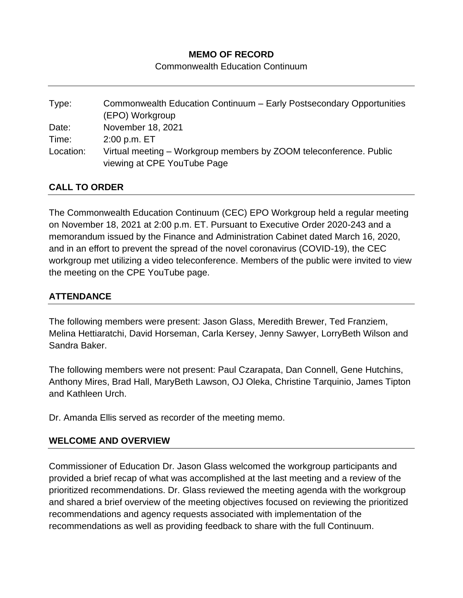# **MEMO OF RECORD**

Commonwealth Education Continuum

| Type:     | Commonwealth Education Continuum - Early Postsecondary Opportunities |
|-----------|----------------------------------------------------------------------|
|           | (EPO) Workgroup                                                      |
| Date:     | November 18, 2021                                                    |
| Time:     | 2:00 p.m. ET                                                         |
| Location: | Virtual meeting – Workgroup members by ZOOM teleconference. Public   |
|           | viewing at CPE YouTube Page                                          |

### **CALL TO ORDER**

The Commonwealth Education Continuum (CEC) EPO Workgroup held a regular meeting on November 18, 2021 at 2:00 p.m. ET. Pursuant to Executive Order 2020-243 and a memorandum issued by the Finance and Administration Cabinet dated March 16, 2020, and in an effort to prevent the spread of the novel coronavirus (COVID-19), the CEC workgroup met utilizing a video teleconference. Members of the public were invited to view the meeting on the CPE YouTube page.

# **ATTENDANCE**

The following members were present: Jason Glass, Meredith Brewer, Ted Franziem, Melina Hettiaratchi, David Horseman, Carla Kersey, Jenny Sawyer, LorryBeth Wilson and Sandra Baker.

The following members were not present: Paul Czarapata, Dan Connell, Gene Hutchins, Anthony Mires, Brad Hall, MaryBeth Lawson, OJ Oleka, Christine Tarquinio, James Tipton and Kathleen Urch.

Dr. Amanda Ellis served as recorder of the meeting memo.

#### **WELCOME AND OVERVIEW**

Commissioner of Education Dr. Jason Glass welcomed the workgroup participants and provided a brief recap of what was accomplished at the last meeting and a review of the prioritized recommendations. Dr. Glass reviewed the meeting agenda with the workgroup and shared a brief overview of the meeting objectives focused on reviewing the prioritized recommendations and agency requests associated with implementation of the recommendations as well as providing feedback to share with the full Continuum.